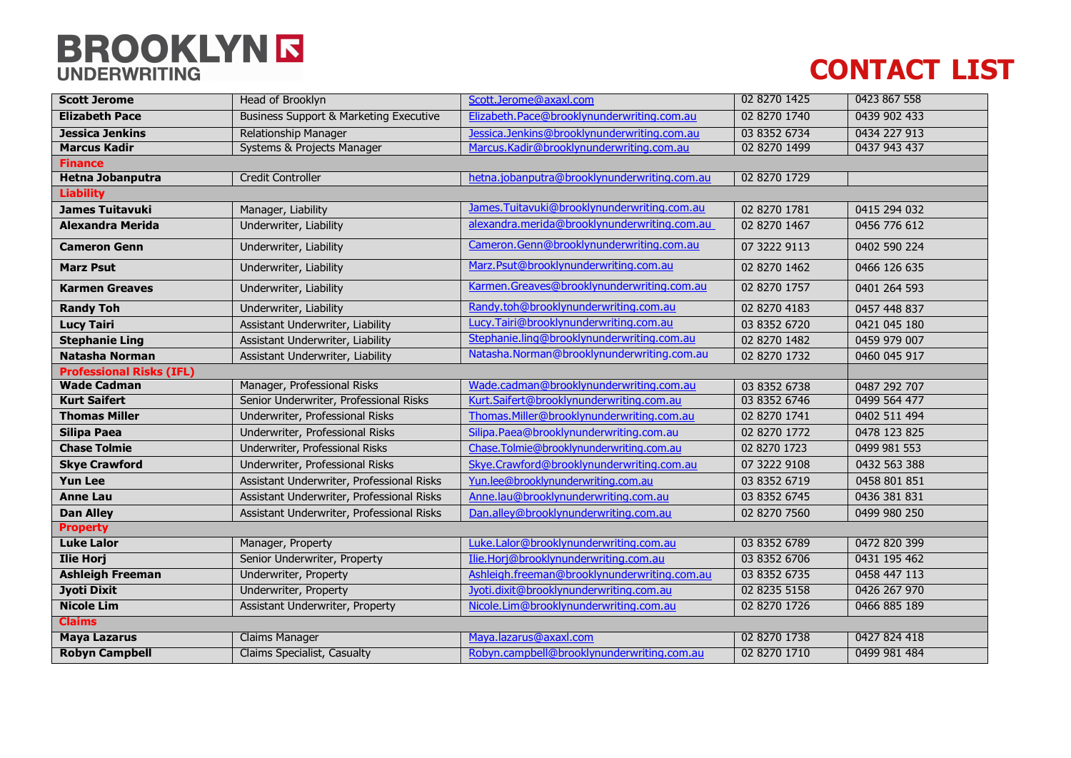## **BROOKLYN R**

## **CONTACT LIST**

| <b>Scott Jerome</b>             | Head of Brooklyn                                  | Scott.Jerome@axaxl.com                       | 02 8270 1425 | 0423 867 558 |  |
|---------------------------------|---------------------------------------------------|----------------------------------------------|--------------|--------------|--|
| <b>Elizabeth Pace</b>           | <b>Business Support &amp; Marketing Executive</b> | Elizabeth.Pace@brooklynunderwriting.com.au   | 02 8270 1740 | 0439 902 433 |  |
| <b>Jessica Jenkins</b>          | <b>Relationship Manager</b>                       | Jessica.Jenkins@brooklynunderwriting.com.au  | 03 8352 6734 | 0434 227 913 |  |
| <b>Marcus Kadir</b>             | Systems & Projects Manager                        | Marcus.Kadir@brooklynunderwriting.com.au     | 02 8270 1499 | 0437 943 437 |  |
| <b>Finance</b>                  |                                                   |                                              |              |              |  |
| <b>Hetna Jobanputra</b>         | <b>Credit Controller</b>                          | hetna.jobanputra@brooklynunderwriting.com.au | 02 8270 1729 |              |  |
| <b>Liability</b>                |                                                   |                                              |              |              |  |
| <b>James Tuitavuki</b>          | Manager, Liability                                | James. Tuitavuki@brooklynunderwriting.com.au | 02 8270 1781 | 0415 294 032 |  |
| <b>Alexandra Merida</b>         | Underwriter, Liability                            | alexandra.merida@brooklynunderwriting.com.au | 02 8270 1467 | 0456 776 612 |  |
| <b>Cameron Genn</b>             | Underwriter, Liability                            | Cameron.Genn@brooklynunderwriting.com.au     | 07 3222 9113 | 0402 590 224 |  |
| <b>Marz Psut</b>                | Underwriter, Liability                            | Marz.Psut@brooklynunderwriting.com.au        | 02 8270 1462 | 0466 126 635 |  |
| <b>Karmen Greaves</b>           | Underwriter, Liability                            | Karmen.Greaves@brooklynunderwriting.com.au   | 02 8270 1757 | 0401 264 593 |  |
| <b>Randy Toh</b>                | Underwriter, Liability                            | Randy.toh@brooklynunderwriting.com.au        | 02 8270 4183 | 0457 448 837 |  |
| <b>Lucy Tairi</b>               | Assistant Underwriter, Liability                  | Lucy.Tairi@brooklynunderwriting.com.au       | 03 8352 6720 | 0421 045 180 |  |
| <b>Stephanie Ling</b>           | Assistant Underwriter, Liability                  | Stephanie.ling@brooklynunderwriting.com.au   | 02 8270 1482 | 0459 979 007 |  |
| <b>Natasha Norman</b>           | Assistant Underwriter, Liability                  | Natasha.Norman@brooklynunderwriting.com.au   | 02 8270 1732 | 0460 045 917 |  |
| <b>Professional Risks (IFL)</b> |                                                   |                                              |              |              |  |
| <b>Wade Cadman</b>              | Manager, Professional Risks                       | Wade.cadman@brooklynunderwriting.com.au      | 03 8352 6738 | 0487 292 707 |  |
| <b>Kurt Saifert</b>             | Senior Underwriter, Professional Risks            | Kurt.Saifert@brooklynunderwriting.com.au     | 03 8352 6746 | 0499 564 477 |  |
| <b>Thomas Miller</b>            | Underwriter, Professional Risks                   | Thomas.Miller@brooklynunderwriting.com.au    | 02 8270 1741 | 0402 511 494 |  |
| <b>Silipa Paea</b>              | Underwriter, Professional Risks                   | Silipa.Paea@brooklynunderwriting.com.au      | 02 8270 1772 | 0478 123 825 |  |
| <b>Chase Tolmie</b>             | Underwriter, Professional Risks                   | Chase.Tolmie@brooklynunderwriting.com.au     | 02 8270 1723 | 0499 981 553 |  |
| <b>Skye Crawford</b>            | Underwriter, Professional Risks                   | Skye.Crawford@brooklynunderwriting.com.au    | 07 3222 9108 | 0432 563 388 |  |
| <b>Yun Lee</b>                  | Assistant Underwriter, Professional Risks         | Yun.lee@brooklynunderwriting.com.au          | 03 8352 6719 | 0458 801 851 |  |
| <b>Anne Lau</b>                 | Assistant Underwriter, Professional Risks         | Anne.lau@brooklynunderwriting.com.au         | 03 8352 6745 | 0436 381 831 |  |
| <b>Dan Alley</b>                | Assistant Underwriter, Professional Risks         | Dan.alley@brooklynunderwriting.com.au        | 02 8270 7560 | 0499 980 250 |  |
| <b>Property</b>                 |                                                   |                                              |              |              |  |
| <b>Luke Lalor</b>               | Manager, Property                                 | Luke.Lalor@brooklynunderwriting.com.au       | 03 8352 6789 | 0472 820 399 |  |
| <b>Ilie Horj</b>                | Senior Underwriter, Property                      | Ilie.Horj@brooklynunderwriting.com.au        | 03 8352 6706 | 0431 195 462 |  |
| <b>Ashleigh Freeman</b>         | Underwriter, Property                             | Ashleigh.freeman@brooklynunderwriting.com.au | 03 8352 6735 | 0458 447 113 |  |
| <b>Jyoti Dixit</b>              | <b>Underwriter, Property</b>                      | Jyoti.dixit@brooklynunderwriting.com.au      | 02 8235 5158 | 0426 267 970 |  |
| <b>Nicole Lim</b>               | Assistant Underwriter, Property                   | Nicole.Lim@brooklynunderwriting.com.au       | 02 8270 1726 | 0466 885 189 |  |
| <b>Claims</b>                   |                                                   |                                              |              |              |  |
| <b>Maya Lazarus</b>             | <b>Claims Manager</b>                             | Maya.lazarus@axaxl.com                       | 02 8270 1738 | 0427 824 418 |  |
| <b>Robyn Campbell</b>           | Claims Specialist, Casualty                       | Robyn.campbell@brooklynunderwriting.com.au   | 02 8270 1710 | 0499 981 484 |  |